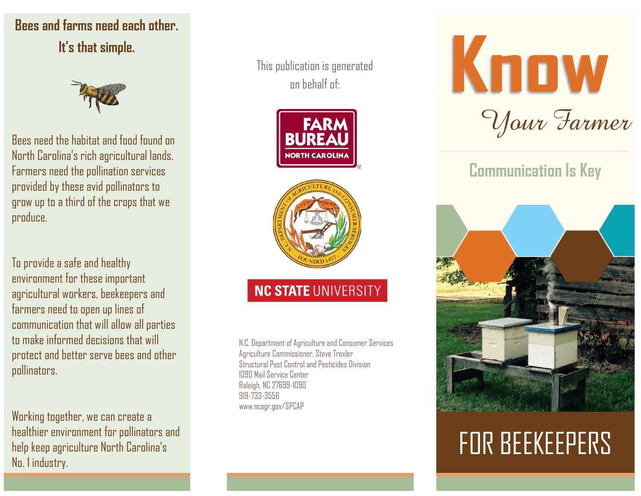## **Bees and farms need each other. It's that simple.**



Bees need the habitat and food found on North Carolina's rich agricultural lands. Farmers need the pollination services provided by these avid pollinators to grow up to a third of the crops that we produce.

To provide a safe and healthy environment for these important agricultural workers, beekeepers and farmers need to open up lines of communication that will allow all parties to make informed decisions that will protect and better serve bees and other pollinators.

Working together, we can create a healthier environment for pollinators and help keep agriculture North Carolina's No. 1 industry.

This publication is generated on behalf of:





## **NC STATE UNIVERSITY**

N.C. Department of Agriculture and Consumer Services Agriculture Commissioner, Steve Troxler Structural Pest Control and Pesticides Division 1090 Mail Service Center Raleigh, NC 27699-1090 919-733-3556 www.ncagr.gov/SPCAP



## **Communication Is Key**



# FOR BEEKEEPERS